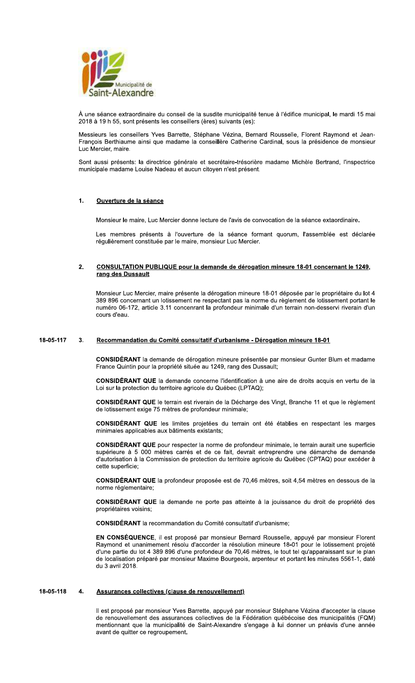

À une séance extraordinaire du conseil de la susdite municipalité tenue à l'édifice municipal, le mardi 15 mai 2018 à 19 h 55, sont présents les conseillers (ères) suivants (es):

Messieurs les conseillers Yves Barrette, Stéphane Vézina, Bernard Rousselle, Florent Raymond et Jean-François Berthiaume ainsi que madame la conseillère Catherine Cardinal, sous la présidence de monsieur Luc Mercier, maire.

Sont aussi présents: la directrice générale et secrétaire-trésorière madame Michèle Bertrand, l'inspectrice municipale madame Louise Nadeau et aucun citoyen n'est présent.

### $\ddot{\mathbf{1}}$ . Ouverture de la séance

Monsieur le maire, Luc Mercier donne lecture de l'avis de convocation de la séance extaordinaire.

Les membres présents à l'ouverture de la séance formant quorum, l'assemblée est déclarée régulièrement constituée par le maire, monsieur Luc Mercier.

## $2<sub>1</sub>$ CONSULTATION PUBLIQUE pour la demande de dérogation mineure 18-01 concernant le 1249, rang des Dussault

Monsieur Luc Mercier, maire présente la dérogation mineure 18-01 déposée par le propriétaire du lot 4 389 896 concernant un lotissement ne respectant pas la norme du règlement de lotissement portant le numéro 06-172, article 3.11 concenrant la profondeur minimale d'un terrain non-desservi riverain d'un cours d'eau.

### 18-05-117  $3.$ Recommandation du Comité consultatif d'urbanisme - Dérogation mineure 18-01

CONSIDÉRANT la demande de dérogation mineure présentée par monsieur Gunter Blum et madame France Quintin pour la propriété située au 1249, rang des Dussault;

CONSIDÉRANT QUE la demande concerne l'identification à une aire de droits acquis en vertu de la Loi sur la protection du territoire agricole du Québec (LPTAQ);

CONSIDÉRANT QUE le terrain est riverain de la Décharge des Vingt, Branche 11 et que le règlement de lotissement exige 75 mètres de profondeur minimale;

CONSIDÉRANT QUE les limites projetées du terrain ont été établies en respectant les marges minimales applicables aux bâtiments existants;

CONSIDÉRANT QUE pour respecter la norme de profondeur minimale, le terrain aurait une superficie supérieure à 5 000 mètres carrés et de ce fait, devrait entreprendre une démarche de demande d'autorisation à la Commission de protection du territoire agricole du Québec (CPTAQ) pour excéder à cette superficie;

CONSIDÉRANT QUE la profondeur proposée est de 70,46 mètres, soit 4,54 mètres en dessous de la norme réglementaire;

CONSIDÉRANT QUE la demande ne porte pas atteinte à la jouissance du droit de propriété des propriétaires voisins;

CONSIDÉRANT la recommandation du Comité consultatif d'urbanisme;

EN CONSÉQUENCE, il est proposé par monsieur Bernard Rousselle, appuyé par monsieur Florent Raymond et unanimement résolu d'accorder la résolution mineure 18-01 pour le lotissement projeté d'une partie du lot 4 389 896 d'une profondeur de 70,46 mètres, le tout tel qu'apparaissant sur le plan de localisation préparé par monsieur Maxime Bourgeois, arpenteur et portant les minutes 5561-1, daté du 3 avril 2018.

#### 18-05-118 4. Assurances collectives (clause de renouvellement)

Il est proposé par monsieur Yves Barrette, appuyé par monsieur Stéphane Vézina d'accepter la clause de renouvellement des assurances collectives de la Fédération québécoise des municipalités (FQM) mentionnant que la municipalité de Saint-Alexandre s'engage à lui donner un préavis d'une année avant de quitter ce regroupement.